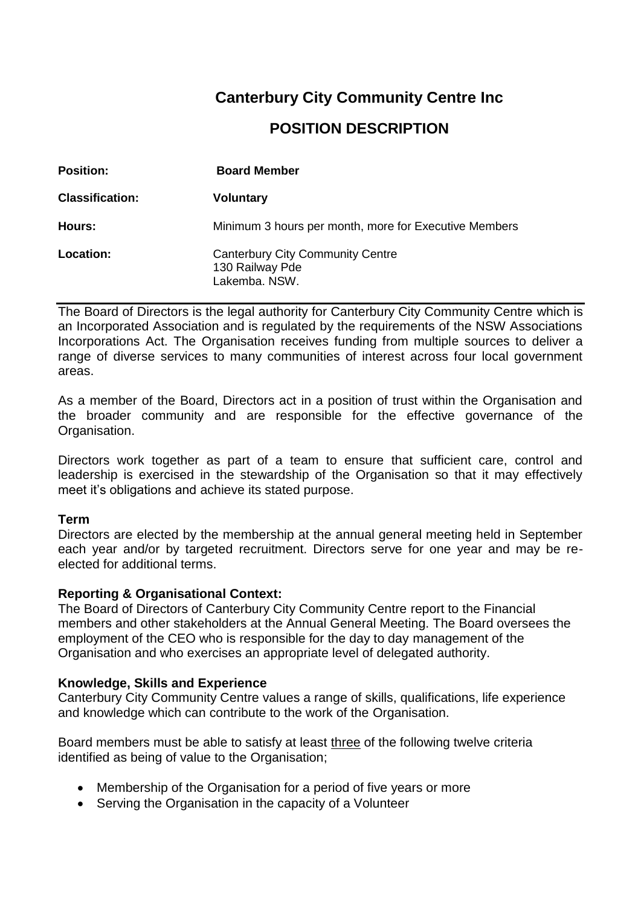# **Canterbury City Community Centre Inc POSITION DESCRIPTION**

| <b>Position:</b>       | <b>Board Member</b>                                                         |
|------------------------|-----------------------------------------------------------------------------|
| <b>Classification:</b> | <b>Voluntary</b>                                                            |
| Hours:                 | Minimum 3 hours per month, more for Executive Members                       |
| Location:              | <b>Canterbury City Community Centre</b><br>130 Railway Pde<br>Lakemba, NSW. |

The Board of Directors is the legal authority for Canterbury City Community Centre which is an Incorporated Association and is regulated by the requirements of the NSW Associations Incorporations Act. The Organisation receives funding from multiple sources to deliver a range of diverse services to many communities of interest across four local government areas.

As a member of the Board, Directors act in a position of trust within the Organisation and the broader community and are responsible for the effective governance of the Organisation.

Directors work together as part of a team to ensure that sufficient care, control and leadership is exercised in the stewardship of the Organisation so that it may effectively meet it's obligations and achieve its stated purpose.

### **Term**

Directors are elected by the membership at the annual general meeting held in September each year and/or by targeted recruitment. Directors serve for one year and may be reelected for additional terms.

# **Reporting & Organisational Context:**

The Board of Directors of Canterbury City Community Centre report to the Financial members and other stakeholders at the Annual General Meeting. The Board oversees the employment of the CEO who is responsible for the day to day management of the Organisation and who exercises an appropriate level of delegated authority.

### **Knowledge, Skills and Experience**

Canterbury City Community Centre values a range of skills, qualifications, life experience and knowledge which can contribute to the work of the Organisation.

Board members must be able to satisfy at least three of the following twelve criteria identified as being of value to the Organisation;

- Membership of the Organisation for a period of five years or more
- Serving the Organisation in the capacity of a Volunteer